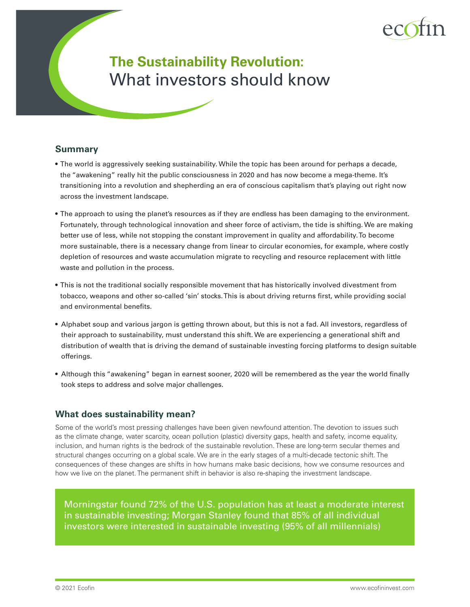

# **The Sustainability Revolution:** What investors should know

## **Summary**

- The world is aggressively seeking sustainability. While the topic has been around for perhaps a decade, the "awakening" really hit the public consciousness in 2020 and has now become a mega-theme. It's transitioning into a revolution and shepherding an era of conscious capitalism that's playing out right now across the investment landscape.
- The approach to using the planet's resources as if they are endless has been damaging to the environment. Fortunately, through technological innovation and sheer force of activism, the tide is shifting. We are making better use of less, while not stopping the constant improvement in quality and affordability. To become more sustainable, there is a necessary change from linear to circular economies, for example, where costly depletion of resources and waste accumulation migrate to recycling and resource replacement with little waste and pollution in the process.
- This is not the traditional socially responsible movement that has historically involved divestment from tobacco, weapons and other so-called 'sin' stocks. This is about driving returns first, while providing social and environmental benefits.
- Alphabet soup and various jargon is getting thrown about, but this is not a fad. All investors, regardless of their approach to sustainability, must understand this shift. We are experiencing a generational shift and distribution of wealth that is driving the demand of sustainable investing forcing platforms to design suitable offerings.
- Although this "awakening" began in earnest sooner, 2020 will be remembered as the year the world finally took steps to address and solve major challenges.

# **What does sustainability mean?**

Some of the world's most pressing challenges have been given newfound attention. The devotion to issues such as the climate change, water scarcity, ocean pollution (plastic) diversity gaps, health and safety, income equality, inclusion, and human rights is the bedrock of the sustainable revolution. These are long-term secular themes and structural changes occurring on a global scale. We are in the early stages of a multi-decade tectonic shift. The consequences of these changes are shifts in how humans make basic decisions, how we consume resources and how we live on the planet. The permanent shift in behavior is also re-shaping the investment landscape.

Morningstar found 72% of the U.S. population has at least a moderate interest in sustainable investing; Morgan Stanley found that 85% of all individual investors were interested in sustainable investing (95% of all millennials)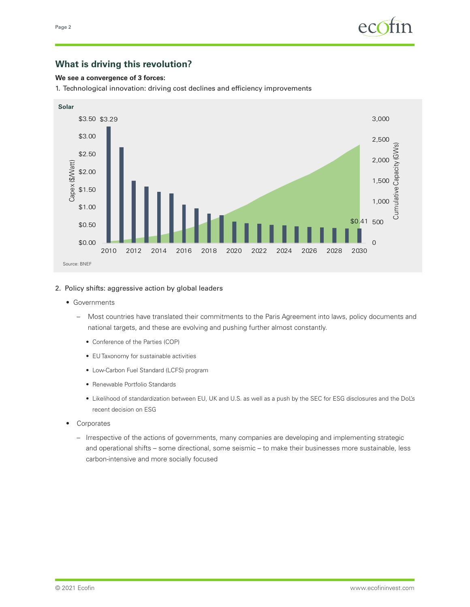# **What is driving this revolution?**

### **We see a convergence of 3 forces:**

1. Technological innovation: driving cost declines and efficiency improvements



### 2. Policy shifts: aggressive action by global leaders

- Governments
	- Most countries have translated their commitments to the Paris Agreement into laws, policy documents and national targets, and these are evolving and pushing further almost constantly.
		- Conference of the Parties (COP)
		- EU Taxonomy for sustainable activities
		- Low-Carbon Fuel Standard (LCFS) program
		- Renewable Portfolio Standards
		- Likelihood of standardization between EU, UK and U.S. as well as a push by the SEC for ESG disclosures and the DoL's recent decision on ESG
- Corporates
	- Irrespective of the actions of governments, many companies are developing and implementing strategic and operational shifts – some directional, some seismic – to make their businesses more sustainable, less carbon-intensive and more socially focused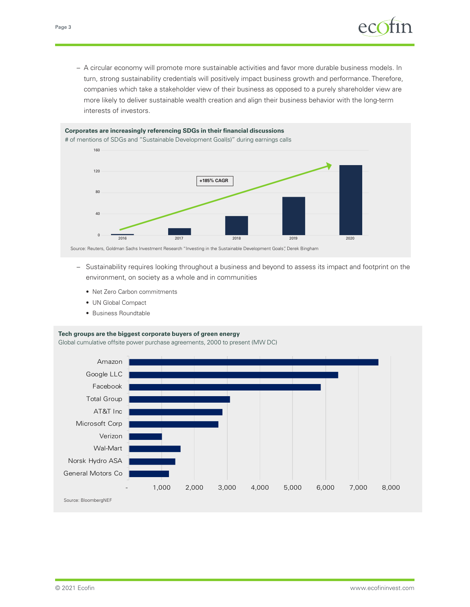– A circular economy will promote more sustainable activities and favor more durable business models. In turn, strong sustainability credentials will positively impact business growth and performance. Therefore, companies which take a stakeholder view of their business as opposed to a purely shareholder view are more likely to deliver sustainable wealth creation and align their business behavior with the long-term interests of investors.

#### **Corporates are increasingly referencing SDGs in their financial discussions**  # of mentions of SDGs and "Sustainable Development Goal(s)" during earnings calls



Source: Reuters, Goldman Sachs Investment Research "Investing in the Sustainable Development Goals", Derek Bingham

- Sustainability requires looking throughout a business and beyond to assess its impact and footprint on the environment, on society as a whole and in communities
	- Net Zero Carbon commitments
	- UN Global Compact
	- Business Roundtable

#### **Tech groups are the biggest corporate buyers of green energy**

Global cumulative offsite power purchase agreements, 2000 to present (MW DC)

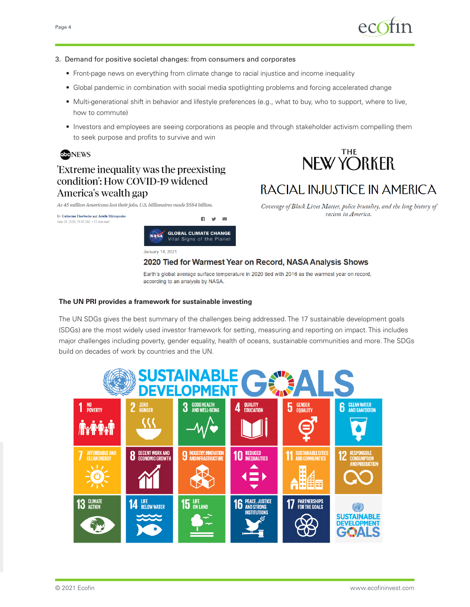

#### 3. Demand for positive societal changes: from consumers and corporates

• Front-page news on everything from climate change to racial injustice and income inequality

**EL V**  $\checkmark$ 

- Global pandemic in combination with social media spotlighting problems and forcing accelerated change
- Multi-generational shift in behavior and lifestyle preferences (e.g., what to buy, who to support, where to live, how to commute)
- Investors and employees are seeing corporations as people and through stakeholder activism compelling them to seek purpose and profits to survive and win



# Extreme inequality was the preexisting condition': How COVID-19 widened America's wealth gap

As 45 million Americans lost their jobs, U.S. billionaires made \$584 billion.



# RACIAL INJUSTICE IN AMERICA

Coverage of Black Lives Matter, police brutality, and the long history of racism in America.

By Catherine Thorbecke and Arielle Mitropoulos June 28, 2020, 10:42 AM . 12 min read **GLOBAL CLIMATE CHANGE NASA** Vital Signs of the Planet

January 14, 2021

2020 Tied for Warmest Year on Record, NASA Analysis Shows

Earth's global average surface temperature in 2020 tied with 2016 as the warmest year on record, according to an analysis by NASA.

## **The UN PRI provides a framework for sustainable investing**

The UN SDGs gives the best summary of the challenges being addressed. The 17 sustainable development goals (SDGs) are the most widely used investor framework for setting, measuring and reporting on impact. This includes major challenges including poverty, gender equality, health of oceans, sustainable communities and more. The SDGs build on decades of work by countries and the UN.

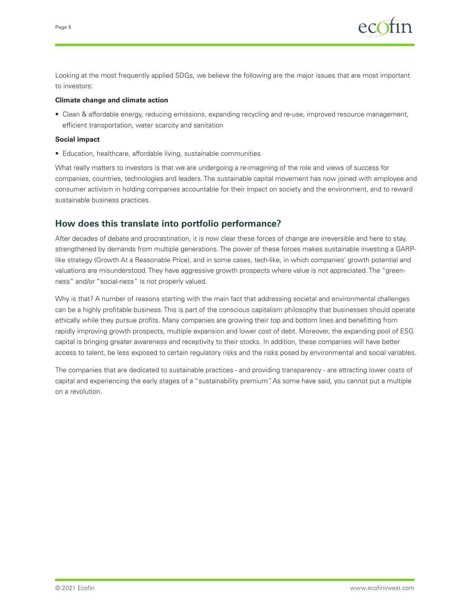

Looking at the most frequently applied SDGs, we believe the following are the major issues that are most important to investors:

#### **Climate change and climate action**

• Clean & affordable energy, reducing emissions, expanding recycling and re-use, improved resource management, efficient transportation, water scarcity and sanitation

#### **Social impact**

• Education, healthcare, affordable living, sustainable communities

What really matters to investors is that we are undergoing a re-imagining of the role and views of success for companies, countries, technologies and leaders. The sustainable capital movement has now joined with employee and consumer activism in holding companies accountable for their impact on society and the environment, and to reward sustainable business practices.

## **How does this translate into portfolio performance?**

After decades of debate and procrastination, it is now clear these forces of change are irreversible and here to stay, strengthened by demands from multiple generations. The power of these forces makes sustainable investing a GARPlike strategy (Growth At a Reasonable Price), and in some cases, tech-like, in which companies' growth potential and valuations are misunderstood. They have aggressive growth prospects where value is not appreciated. The "greenness" and/or "social-ness" is not properly valued.

Why is that? A number of reasons starting with the main fact that addressing societal and environmental challenges can be a highly profitable business. This is part of the conscious capitalism philosophy that businesses should operate ethically while they pursue profits. Many companies are growing their top and bottom lines and benefitting from rapidly improving growth prospects, multiple expansion and lower cost of debt. Moreover, the expanding pool of ESG capital is bringing greater awareness and receptivity to their stocks. In addition, these companies will have better access to talent, be less exposed to certain regulatory risks and the risks posed by environmental and social variables.

The companies that are dedicated to sustainable practices - and providing transparency - are attracting lower costs of capital and experiencing the early stages of a "sustainability premium". As some have said, you cannot put a multiple on a revolution.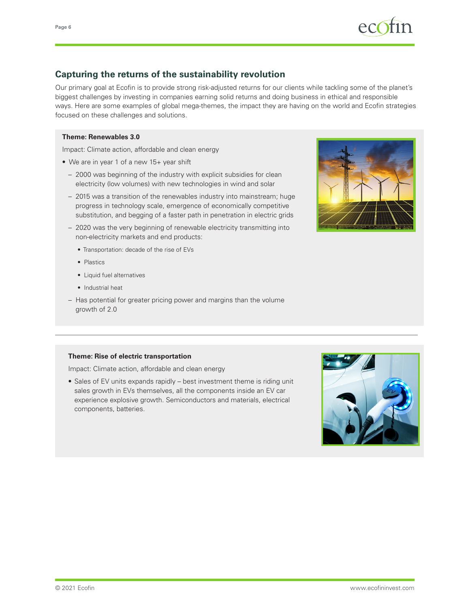

# **Capturing the returns of the sustainability revolution**

Our primary goal at Ecofin is to provide strong risk-adjusted returns for our clients while tackling some of the planet's biggest challenges by investing in companies earning solid returns and doing business in ethical and responsible ways. Here are some examples of global mega-themes, the impact they are having on the world and Ecofin strategies focused on these challenges and solutions.

### **Theme: Renewables 3.0**

Impact: Climate action, affordable and clean energy

- We are in year 1 of a new 15+ year shift
	- 2000 was beginning of the industry with explicit subsidies for clean electricity (low volumes) with new technologies in wind and solar
	- 2015 was a transition of the renewables industry into mainstream; huge progress in technology scale, emergence of economically competitive substitution, and begging of a faster path in penetration in electric grids
	- 2020 was the very beginning of renewable electricity transmitting into non-electricity markets and end products:
		- Transportation: decade of the rise of EVs
		- Plastics
		- Liquid fuel alternatives
		- Industrial heat
	- Has potential for greater pricing power and margins than the volume growth of 2.0



#### **Theme: Rise of electric transportation**

Impact: Climate action, affordable and clean energy

• Sales of EV units expands rapidly – best investment theme is riding unit sales growth in EVs themselves, all the components inside an EV car experience explosive growth. Semiconductors and materials, electrical components, batteries.

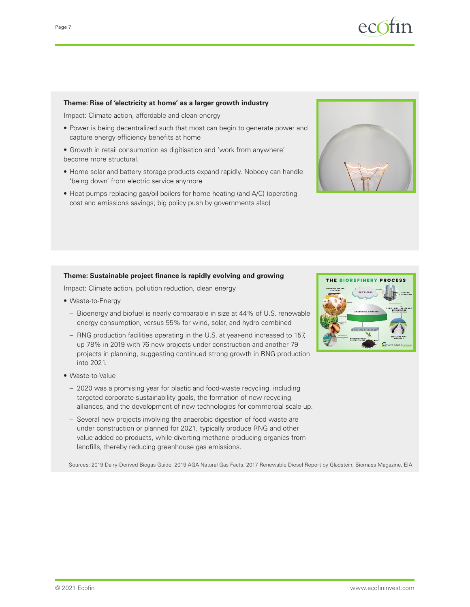

#### **Theme: Rise of 'electricity at home' as a larger growth industry**

Impact: Climate action, affordable and clean energy

- Power is being decentralized such that most can begin to generate power and capture energy efficiency benefits at home
- Growth in retail consumption as digitisation and 'work from anywhere' become more structural.
- Home solar and battery storage products expand rapidly. Nobody can handle 'being down' from electric service anymore
- Heat pumps replacing gas/oil boilers for home heating (and A/C) (operating cost and emissions savings; big policy push by governments also)



#### **Theme: Sustainable project finance is rapidly evolving and growing**

Impact: Climate action, pollution reduction, clean energy

- Waste-to-Energy
	- Bioenergy and biofuel is nearly comparable in size at 44% of U.S. renewable energy consumption, versus 55% for wind, solar, and hydro combined
	- RNG production facilities operating in the U.S. at year-end increased to 157, up 78% in 2019 with 76 new projects under construction and another 79 projects in planning, suggesting continued strong growth in RNG production into 2021.
- Waste-to-Value
	- 2020 was a promising year for plastic and food-waste recycling, including targeted corporate sustainability goals, the formation of new recycling alliances, and the development of new technologies for commercial scale-up.
	- Several new projects involving the anaerobic digestion of food waste are under construction or planned for 2021, typically produce RNG and other value-added co-products, while diverting methane-producing organics from landfills, thereby reducing greenhouse gas emissions.

Sources: 2019 Dairy-Derived Biogas Guide, 2019 AGA Natural Gas Facts. 2017 Renewable Diesel Report by Gladstein, Biomass Magazine, EIA